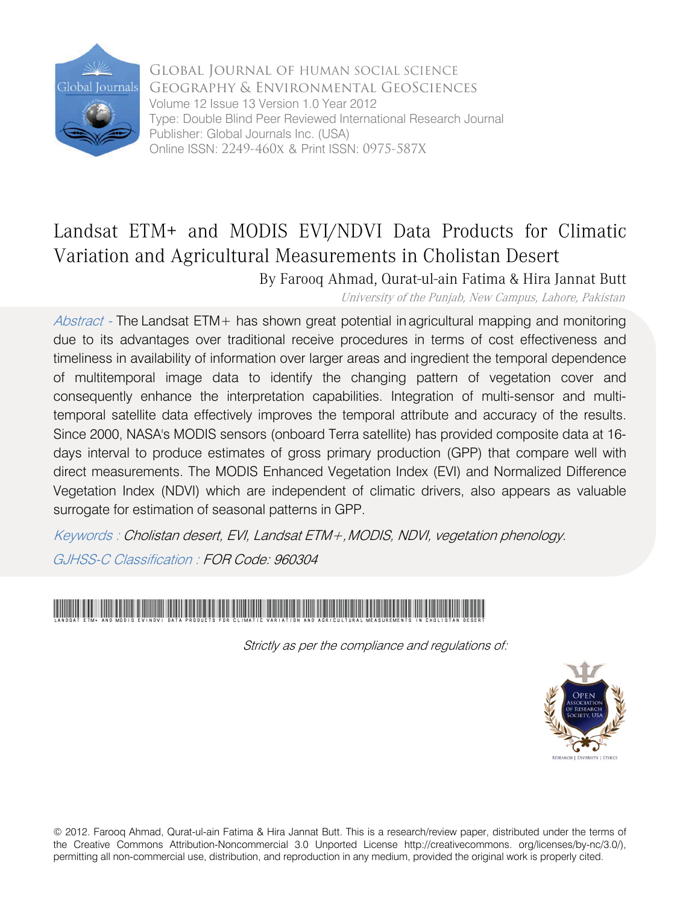

Global Journal of HUMAN SOCIAL SCIENCE Geography & Environmental GeoSciences Volume 12 Issue 13 Version 1.0 Year 2012 Type: Double Blind Peer Reviewed International Research Journal Publisher: Global Journals Inc. (USA) Online ISSN: 2249-460x & Print ISSN: 0975-587X

# Landsat ETM+ and MODIS EVI/NDVI Data Products for Climatic Variation and Agricultural Measurements in Cholistan Desert

By Farooq Ahmad, Qurat-ul-ain Fatima & Hira Jannat Butt

University of the Punjab, New Campus, Lahore, Pakistan

Abstract - The Landsat ETM+ has shown great potential in agricultural mapping and monitoring due to its advantages over traditional receive procedures in terms of cost effectiveness and timeliness in availability of information over larger areas and ingredient the temporal dependence of multitemporal image data to identify the changing pattern of vegetation cover and consequently enhance the interpretation capabilities. Integration of multi-sensor and multitemporal satellite data effectively improves the temporal attribute and accuracy of the results. Since 2000, NASA's MODIS sensors (onboard Terra satellite) has provided composite data at 16 days interval to produce estimates of gross primary production (GPP) that compare well with direct measurements. The MODIS Enhanced Vegetation Index (EVI) and Normalized Difference Vegetation Index (NDVI) which are independent of climatic drivers, also appears as valuable surrogate for estimation of seasonal patterns in GPP.

Keywords : Cholistan desert, EVI, Landsat ETM+,MODIS, NDVI, vegetation phenology.

GJHSS-C Classification : FOR Code: 960304

# Landsat ETM+ and MODIS EVINDVI Data Products for Climatic Variation and Agricultural Measurements in Cholistan Desert

Strictly as per the compliance and regulations of:



© 2012. Farooq Ahmad, Qurat-ul-ain Fatima & Hira Jannat Butt. This is a research/review paper, distributed under the terms of the Creative Commons Attribution-Noncommercial 3.0 Unported License http://creativecommons. org/licenses/by-nc/3.0/), permitting all non-commercial use, distribution, and reproduction in any medium, provided the original work is properly cited.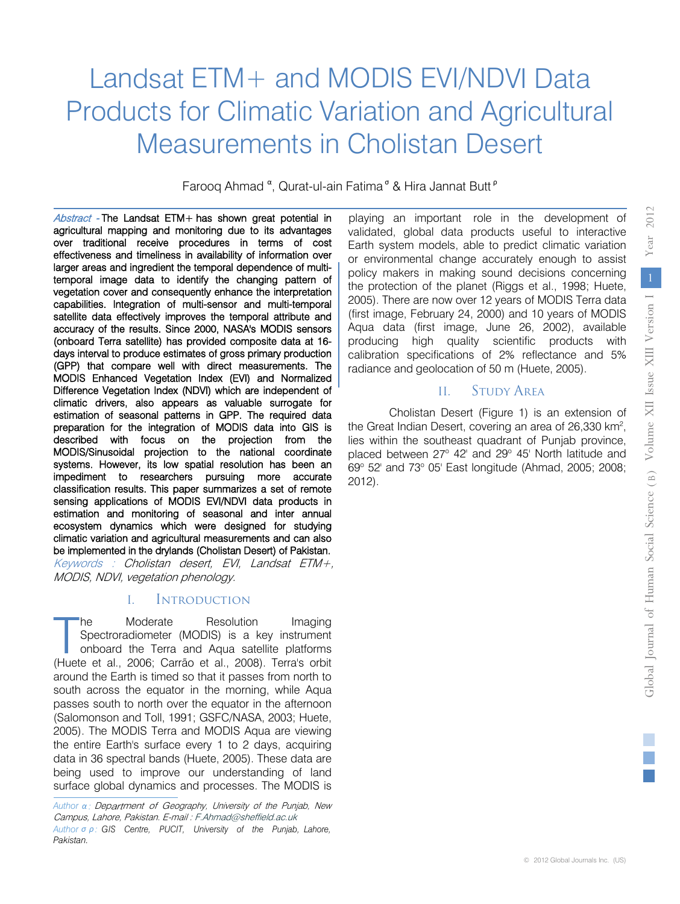# Landsat ETM+ and MODIS EVI/NDVI Data Products for Climatic Variation and Agricultural Measurements in Cholistan Desert

Farooq Ahmad <sup>α</sup>, Qurat-ul-ain Fatima<sup>σ</sup> & Hira Jannat Butt<sup>p</sup>

Abstract - The Landsat ETM+ has shown great potential in Keywords : Cholistan desert, EVI, Landsat ETM+, MODIS, NDVI, vegetation phenology. agricultural mapping and monitoring due to its advantages over traditional receive procedures in terms of cost effectiveness and timeliness in availability of information over larger areas and ingredient the temporal dependence of multitemporal image data to identify the changing pattern of vegetation cover and consequently enhance the interpretation capabilities. Integration of multi-sensor and multi-temporal satellite data effectively improves the temporal attribute and accuracy of the results. Since 2000, NASA's MODIS sensors (onboard Terra satellite) has provided composite data at 16 days interval to produce estimates of gross primary production (GPP) that compare well with direct measurements. The MODIS Enhanced Vegetation Index (EVI) and Normalized Difference Vegetation Index (NDVI) which are independent of climatic drivers, also appears as valuable surrogate for estimation of seasonal patterns in GPP. The required data preparation for the integration of MODIS data into GIS is described with focus on the projection from the MODIS/Sinusoidal projection to the national coordinate systems. However, its low spatial resolution has been an impediment to researchers pursuing more accurate classification results. This paper summarizes a set of remote sensing applications of MODIS EVI/NDVI data products in estimation and monitoring of seasonal and inter annual ecosystem dynamics which were designed for studying climatic variation and agricultural measurements and can also be implemented in the drylands (Cholistan Desert) of Pakistan.

#### I. Introductıon

he Moderate Resolution Imaging Spectroradiometer (MODIS) is a key instrument onboard the Terra and Aqua satellite platforms he Moderate Resolution Imaging<br>
Spectroradiometer (MODIS) is a key instrument<br>
onboard the Terra and Aqua satellite platforms<br>
(Huete et al., 2006; Carrão et al., 2008). Terra's orbit around the Earth is timed so that it passes from north to south across the equator in the morning, while Aqua passes south to north over the equator in the afternoon (Salomonson and Toll, 1991; GSFC/NASA, 2003; Huete, 2005). The MODIS Terra and MODIS Aqua are viewing the entire Earth's surface every 1 to 2 days, acquiring data in 36 spectral bands (Huete, 2005). These data are being used to improve our understanding of land surface global dynamics and processes. The MODIS is

 validated, global data products useful to interactive playing an important role in the development of Earth system models, able to predict climatic variation or environmental change accurately enough to assist policy makers in making sound decisions concerning the protection of the planet (Riggs et al., 1998; Huete, 2005). There are now over 12 years of MODIS Terra data (first image, February 24, 2000) and 10 years of MODIS Aqua data (first image, June 26, 2002), available producing high quality scientific products with calibration specifications of 2% reflectance and 5% radiance and geolocation of 50 m (Huete, 2005).

## II. Study Area

Cholistan Desert (Figure 1) is an extension of the Great Indian Desert, covering an area of 26,330 km<sup>2</sup>, lies within the southeast quadrant of Punjab province, placed between  $27^{\circ}$  42' and  $29^{\circ}$  45' North latitude and 69° 52' and 73° 05' East longitude (Ahmad, 2005; 2008; 2012).

*2012*

*Year*

*Author σ ρ :* GIS Centre, PUCIT, University of the Punjab, Lahore, *Pakistan.* Department of Geography, University of the Punjab, New *Author α :* Campus, Lahore, Pakistan. E-mail : F.Ahmad@sheffield.ac.uk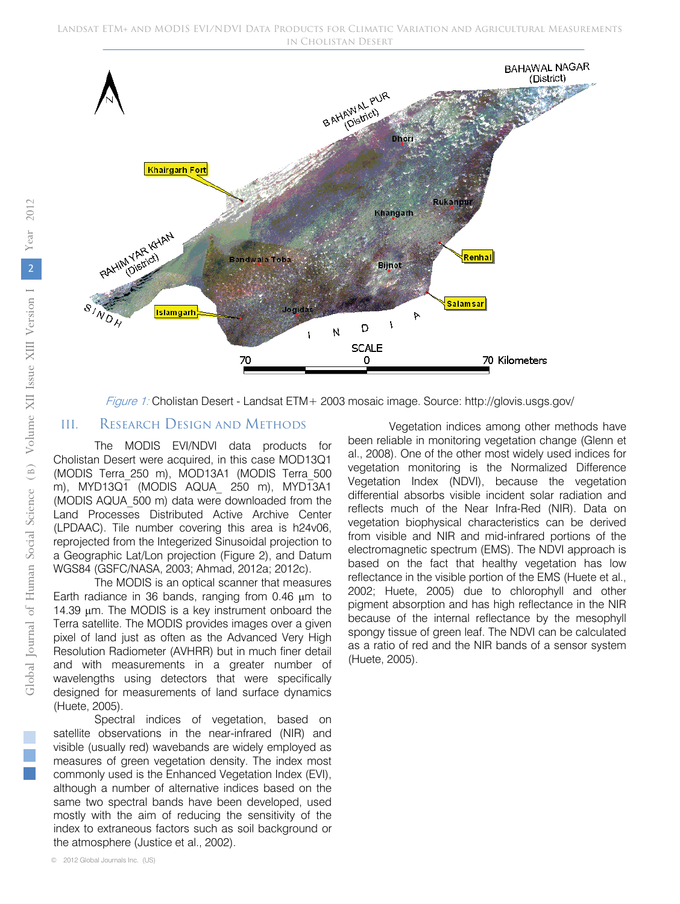

Figure 1: Cholistan Desert - Landsat ETM+ 2003 mosaic image. Source: http://glovis.usgs.gov/

#### III. Research Desıgn and Methods

The MODIS EVI/NDVI data products for Cholistan Desert were acquired, in this case MOD13Q1 (MODIS Terra\_250 m), MOD13A1 (MODIS Terra\_500 m), MYD13Q1 (MODIS AQUA\_ 250 m), MYD13A1 (MODIS AQUA\_500 m) data were downloaded from the Land Processes Distributed Active Archive Center (LPDAAC). Tile number covering this area is h24v06, reprojected from the Integerized Sinusoidal projection to a Geographic Lat/Lon projection (Figure 2), and Datum WGS84 (GSFC/NASA, 2003; Ahmad, 2012a; 2012c).

The MODIS is an optical scanner that measures Earth radiance in 36 bands, ranging from 0.46 μm to 14.39 μm. The MODIS is a key instrument onboard the Terra satellite. The MODIS provides images over a given pixel of land just as often as the Advanced Very High Resolution Radiometer (AVHRR) but in much finer detail and with measurements in a greater number of wavelengths using detectors that were specifically designed for measurements of land surface dynamics (Huete, 2005).

Spectral indices of vegetation, based on satellite observations in the near-infrared (NIR) and visible (usually red) wavebands are widely employed as measures of green vegetation density. The index most commonly used is the Enhanced Vegetation Index (EVI), although a number of alternative indices based on the same two spectral bands have been developed, used mostly with the aim of reducing the sensitivity of the index to extraneous factors such as soil background or the atmosphere (Justice et al., 2002).

Vegetation indices among other methods have been reliable in monitoring vegetation change (Glenn et al., 2008). One of the other most widely used indices for vegetation monitoring is the Normalized Difference Vegetation Index (NDVI), because the vegetation differential absorbs visible incident solar radiation and reflects much of the Near Infra-Red (NIR). Data on vegetation biophysical characteristics can be derived from visible and NIR and mid-infrared portions of the electromagnetic spectrum (EMS). The NDVI approach is based on the fact that healthy vegetation has low reflectance in the visible portion of the EMS (Huete et al., 2002; Huete, 2005) due to chlorophyll and other pigment absorption and has high reflectance in the NIR because of the internal reflectance by the mesophyll spongy tissue of green leaf. The NDVI can be calculated as a ratio of red and the NIR bands of a sensor system (Huete, 2005).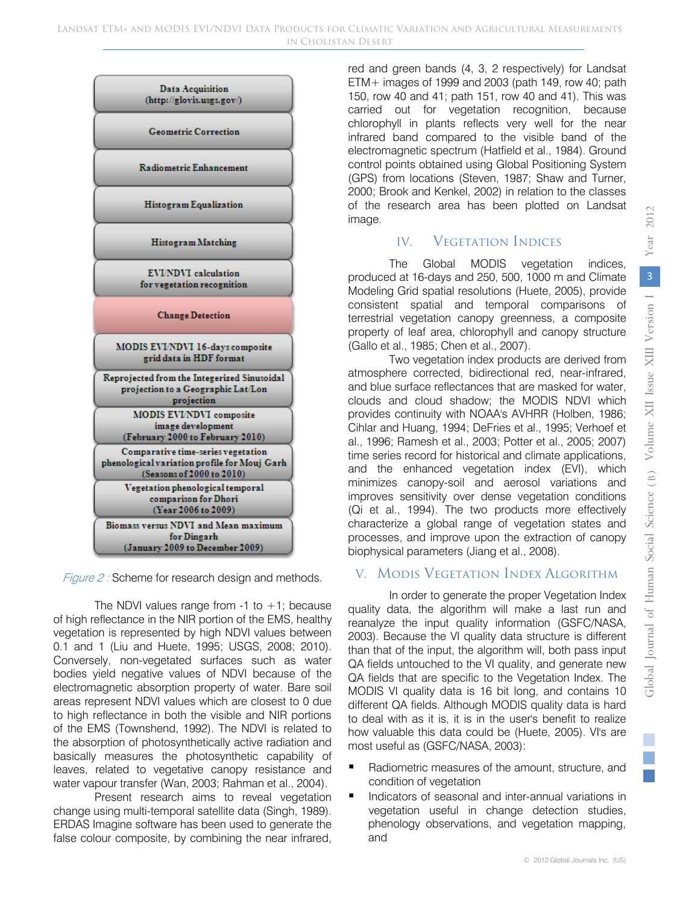

Figure 2 : Scheme for research design and methods.

The NDVI values range from  $-1$  to  $+1$ ; because of high reflectance in the NIR portion of the EMS, healthy vegetation is represented by high NDVI values between 0.1 and 1 (Liu and Huete, 1995; USGS, 2008; 2010). Conversely, non-vegetated surfaces such as water bodies yield negative values of NDVI because of the electromagnetic absorption property of water. Bare soil areas represent NDVI values which are closest to 0 due to high reflectance in both the visible and NIR portions of the EMS (Townshend, 1992). The NDVI is related to the absorption of photosynthetically active radiation and basically measures the photosynthetic capability of leaves, related to vegetative canopy resistance and water vapour transfer (Wan, 2003; Rahman et al., 2004).

Present research aims to reveal vegetation change using multi-temporal satellite data (Singh, 1989). ERDAS Imagine software has been used to generate the false colour composite, by combining the near infrared, red and green bands (4, 3, 2 respectively) for Landsat ETM+ images of 1999 and 2003 (path 149, row 40; path 150, row 40 and 41; path 151, row 40 and 41). This was carried out for vegetation recognition, because chlorophyll in plants reflects very well for the near infrared band compared to the visible band of the electromagnetic spectrum (Hatfield et al., 1984). Ground control points obtained using Global Positioning System (GPS) from locations (Steven, 1987; Shaw and Turner, 2000; Brook and Kenkel, 2002) in relation to the classes of the research area has been plotted on Landsat image.

## IV. **VEGETATION INDICES**

The Global MODIS vegetation indices, produced at 16-days and 250, 500, 1000 m and Climate Modeling Grid spatial resolutions (Huete, 2005), provide consistent spatial and temporal comparisons of terrestrial vegetation canopy greenness, a composite property of leaf area, chlorophyll and canopy structure (Gallo et al., 1985; Chen et al., 2007).

Two vegetation index products are derived from atmosphere corrected, bidirectional red, near-infrared, and blue surface reflectances that are masked for water, clouds and cloud shadow; the MODIS NDVI which provides continuity with NOAA's AVHRR (Holben, 1986; Cihlar and Huang, 1994; DeFries et al., 1995; Verhoef et al., 1996; Ramesh et al., 2003; Potter et al., 2005; 2007) time series record for historical and climate applications, and the enhanced vegetation index (EVI), which minimizes canopy-soil and aerosol variations and improves sensitivity over dense vegetation conditions (Qi et al., 1994). The two products more effectively characterize a global range of vegetation states and processes, and improve upon the extraction of canopy biophysical parameters (Jiang et al., 2008).

# V. Modıs Vegetation Index Algorithm

In order to generate the proper Vegetation Index quality data, the algorithm will make a last run and reanalyze the input quality information (GSFC/NASA, 2003). Because the VI quality data structure is different than that of the input, the algorithm will, both pass input QA fields untouched to the VI quality, and generate new QA fields that are specific to the Vegetation Index. The MODIS VI quality data is 16 bit long, and contains 10 different QA fields. Although MODIS quality data is hard to deal with as it is, it is in the user's benefit to realize how valuable this data could be (Huete, 2005). VI's are most useful as (GSFC/NASA, 2003):

- Radiometric measures of the amount, structure, and condition of vegetation
- Indicators of seasonal and inter-annual variations in vegetation useful in change detection studies, phenology observations, and vegetation mapping, and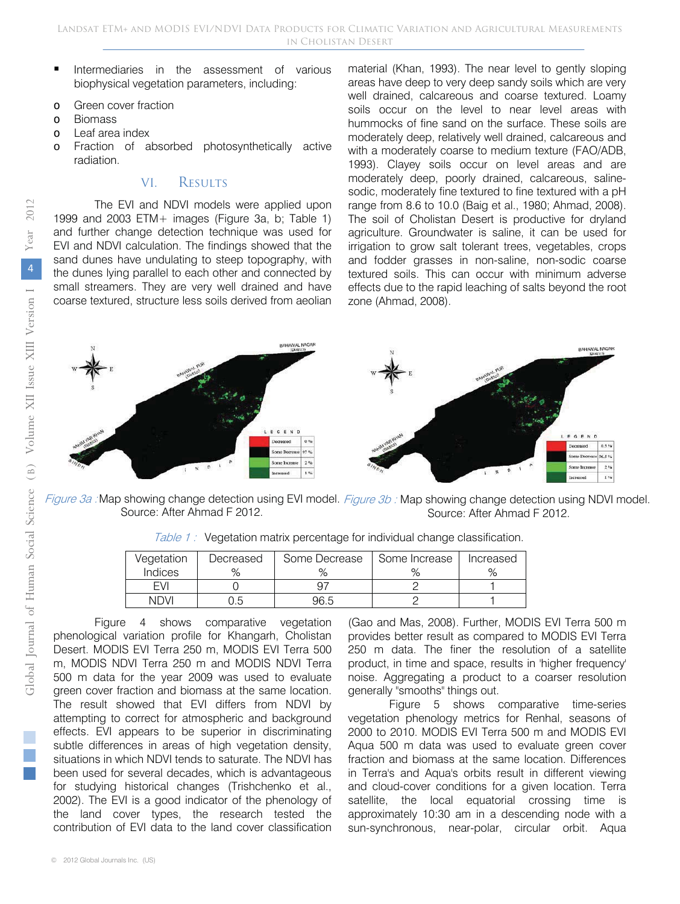- Intermediaries in the assessment of various biophysical vegetation parameters, including:
- o Green cover fraction
- o Biomass
- o Leaf area index
- o Fraction of absorbed photosynthetically active radiation.

#### VI. Results

The EVI and NDVI models were applied upon 1999 and 2003 ETM+ images (Figure 3a, b; Table 1) and further change detection technique was used for EVI and NDVI calculation. The findings showed that the sand dunes have undulating to steep topography, with the dunes lying parallel to each other and connected by small streamers. They are very well drained and have coarse textured, structure less soils derived from aeolian

material (Khan, 1993). The near level to gently sloping areas have deep to very deep sandy soils which are very well drained, calcareous and coarse textured. Loamy soils occur on the level to near level areas with hummocks of fine sand on the surface. These soils are moderately deep, relatively well drained, calcareous and with a moderately coarse to medium texture (FAO/ADB, 1993). Clayey soils occur on level areas and are moderately deep, poorly drained, calcareous, salinesodic, moderately fine textured to fine textured with a pH range from 8.6 to 10.0 (Baig et al., 1980; Ahmad, 2008). The soil of Cholistan Desert is productive for dryland agriculture. Groundwater is saline, it can be used for irrigation to grow salt tolerant trees, vegetables, crops and fodder grasses in non-saline, non-sodic coarse textured soils. This can occur with minimum adverse effects due to the rapid leaching of salts beyond the root zone (Ahmad, 2008).



Figure 3a : Map showing change detection using EVI model. Figure 3b : Map showing change detection using NDVI model. Source: After Ahmad F 2012. Source: After Ahmad F 2012.

| Table 1: Vegetation matrix percentage for individual change classification. |  |
|-----------------------------------------------------------------------------|--|
|-----------------------------------------------------------------------------|--|

| Vegetation | Decreased | Some Decrease | Some Increase | Increased |
|------------|-----------|---------------|---------------|-----------|
| Indices    |           |               |               | $\circ$   |
| FVI        |           |               |               |           |
| NDVI       |           | 96.5          |               |           |

Figure 4 shows comparative vegetation phenological variation profile for Khangarh, Cholistan Desert. MODIS EVI Terra 250 m, MODIS EVI Terra 500 m, MODIS NDVI Terra 250 m and MODIS NDVI Terra 500 m data for the year 2009 was used to evaluate green cover fraction and biomass at the same location. The result showed that EVI differs from NDVI by attempting to correct for atmospheric and background effects. EVI appears to be superior in discriminating subtle differences in areas of high vegetation density, situations in which NDVI tends to saturate. The NDVI has been used for several decades, which is advantageous for studying historical changes (Trishchenko et al., 2002). The EVI is a good indicator of the phenology of the land cover types, the research tested the contribution of EVI data to the land cover classification

(Gao and Mas, 2008). Further, MODIS EVI Terra 500 m provides better result as compared to MODIS EVI Terra 250 m data. The finer the resolution of a satellite product, in time and space, results in 'higher frequency' noise. Aggregating a product to a coarser resolution generally "smooths" things out.

Figure 5 shows comparative time-series vegetation phenology metrics for Renhal, seasons of 2000 to 2010. MODIS EVI Terra 500 m and MODIS EVI Aqua 500 m data was used to evaluate green cover fraction and biomass at the same location. Differences in Terra's and Aqua's orbits result in different viewing and cloud-cover conditions for a given location. Terra satellite, the local equatorial crossing time is approximately 10:30 am in a descending node with a sun-synchronous, near-polar, circular orbit. Aqua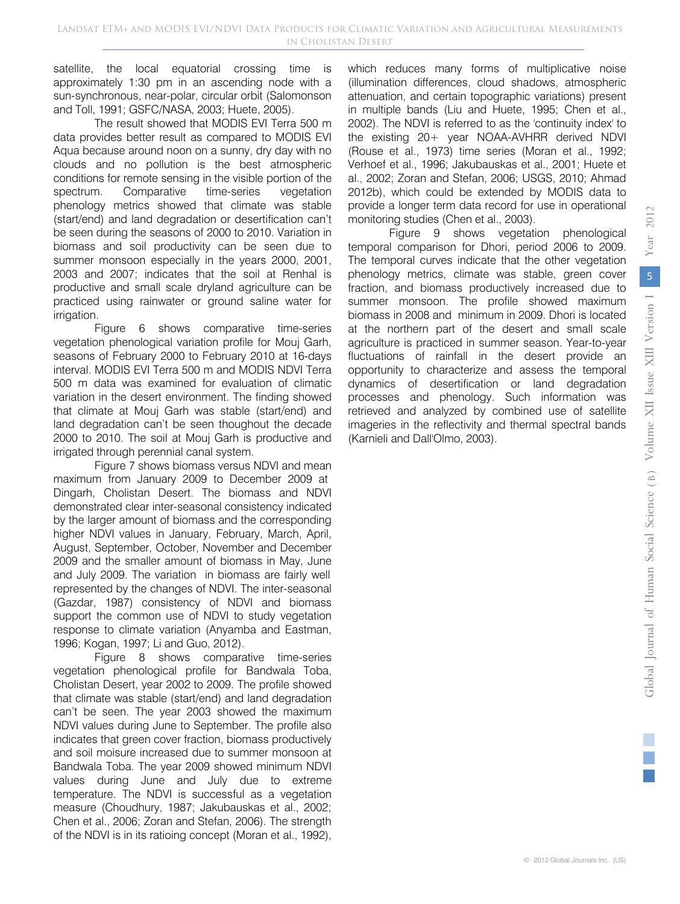*2012*

satellite, the local equatorial crossing time is approximately 1:30 pm in an ascending node with a sun-synchronous, near-polar, circular orbit (Salomonson and Toll, 1991; GSFC/NASA, 2003; Huete, 2005).

The result showed that MODIS EVI Terra 500 m data provides better result as compared to MODIS EVI Aqua because around noon on a sunny, dry day with no clouds and no pollution is the best atmospheric conditions for remote sensing in the visible portion of the spectrum. Comparative time-series vegetation phenology metrics showed that climate was stable (start/end) and land degradation or desertification can't be seen during the seasons of 2000 to 2010. Variation in biomass and soil productivity can be seen due to summer monsoon especially in the years 2000, 2001, 2003 and 2007; indicates that the soil at Renhal is productive and small scale dryland agriculture can be practiced using rainwater or ground saline water for irrigation.

Figure 6 shows comparative time-series vegetation phenological variation profile for Mouj Garh, seasons of February 2000 to February 2010 at 16-days interval. MODIS EVI Terra 500 m and MODIS NDVI Terra 500 m data was examined for evaluation of climatic variation in the desert environment. The finding showed that climate at Mouj Garh was stable (start/end) and land degradation can't be seen thoughout the decade 2000 to 2010. The soil at Mouj Garh is productive and irrigated through perennial canal system.

Figure 7 shows biomass versus NDVI and mean maximum from January 2009 to December 2009 at Dingarh, Cholistan Desert. The biomass and NDVI demonstrated clear inter-seasonal consistency indicated by the larger amount of biomass and the corresponding higher NDVI values in January, February, March, April, August, September, October, November and December 2009 and the smaller amount of biomass in May, June and July 2009. The variation in biomass are fairly well represented by the changes of NDVI. The inter-seasonal (Gazdar, 1987) consistency of NDVI and biomass support the common use of NDVI to study vegetation response to climate variation (Anyamba and Eastman, 1996; Kogan, 1997; Li and Guo, 2012).

Figure 8 shows comparative time-series vegetation phenological profile for Bandwala Toba, Cholistan Desert, year 2002 to 2009. The profile showed that climate was stable (start/end) and land degradation can't be seen. The year 2003 showed the maximum NDVI values during June to September. The profile also indicates that green cover fraction, biomass productively and soil moisure increased due to summer monsoon at Bandwala Toba. The year 2009 showed minimum NDVI values during June and July due to extreme temperature. The NDVI is successful as a vegetation measure (Choudhury, 1987; Jakubauskas et al., 2002; Chen et al., 2006; Zoran and Stefan, 2006). The strength of the NDVI is in its ratioing concept (Moran et al., 1992),

which reduces many forms of multiplicative noise (illumination differences, cloud shadows, atmospheric attenuation, and certain topographic variations) present in multiple bands (Liu and Huete, 1995; Chen et al., 2002). The NDVI is referred to as the 'continuity index' to the existing 20+ year NOAA-AVHRR derived NDVI (Rouse et al., 1973) time series (Moran et al., 1992; Verhoef et al., 1996; Jakubauskas et al., 2001; Huete et al., 2002; Zoran and Stefan, 2006; USGS, 2010; Ahmad 2012b), which could be extended by MODIS data to provide a longer term data record for use in operational monitoring studies (Chen et al., 2003).

Figure 9 shows vegetation phenological temporal comparison for Dhori, period 2006 to 2009. The temporal curves indicate that the other vegetation phenology metrics, climate was stable, green cover fraction, and biomass productively increased due to summer monsoon. The profile showed maximum biomass in 2008 and minimum in 2009. Dhori is located at the northern part of the desert and small scale agriculture is practiced in summer season. Year-to-year fluctuations of rainfall in the desert provide an opportunity to characterize and assess the temporal dynamics of desertification or land degradation processes and phenology. Such information was retrieved and analyzed by combined use of satellite imageries in the reflectivity and thermal spectral bands (Karnieli and Dall'Olmo, 2003).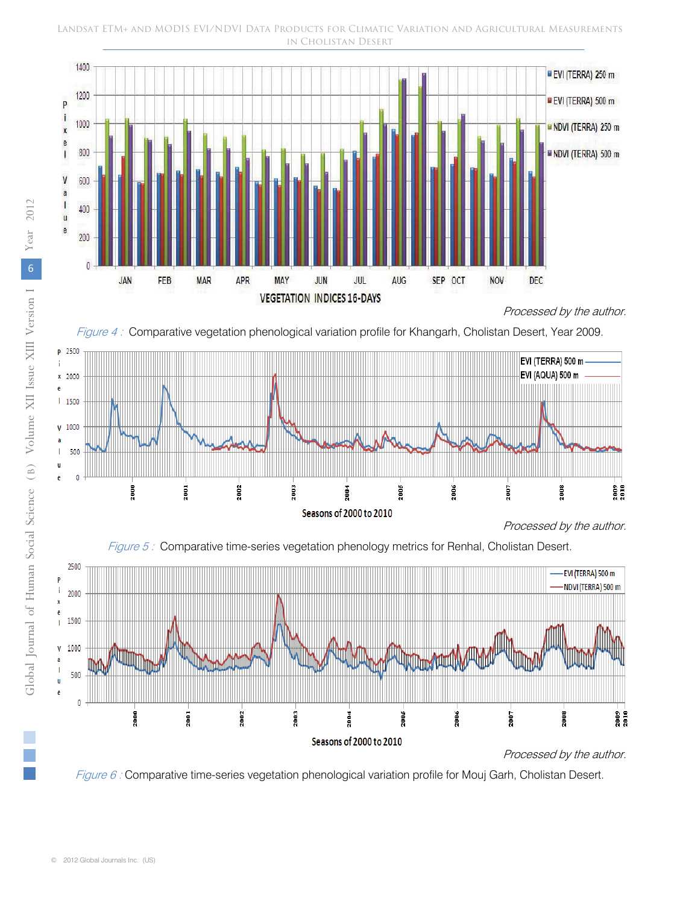#### Landsat ETM+ and MODIS EVI/NDVI Data Products for Climatic Variation and Agricultural Measurements in Cholistan Desert



Processed by the author.







Figure 6 : Comparative time-series vegetation phenological variation profile for Mouj Garh, Cholistan Desert.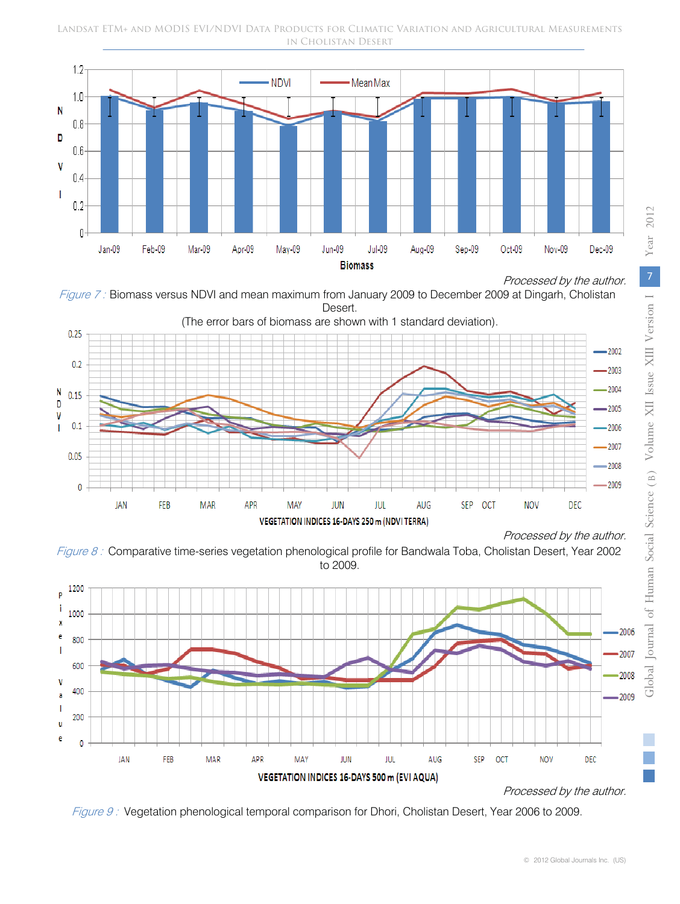





Figure 8 : Comparative time-series vegetation phenological profile for Bandwala Toba, Cholistan Desert, Year 2002 to 2009.



Figure 9 : Vegetation phenological temporal comparison for Dhori, Cholistan Desert, Year 2006 to 2009.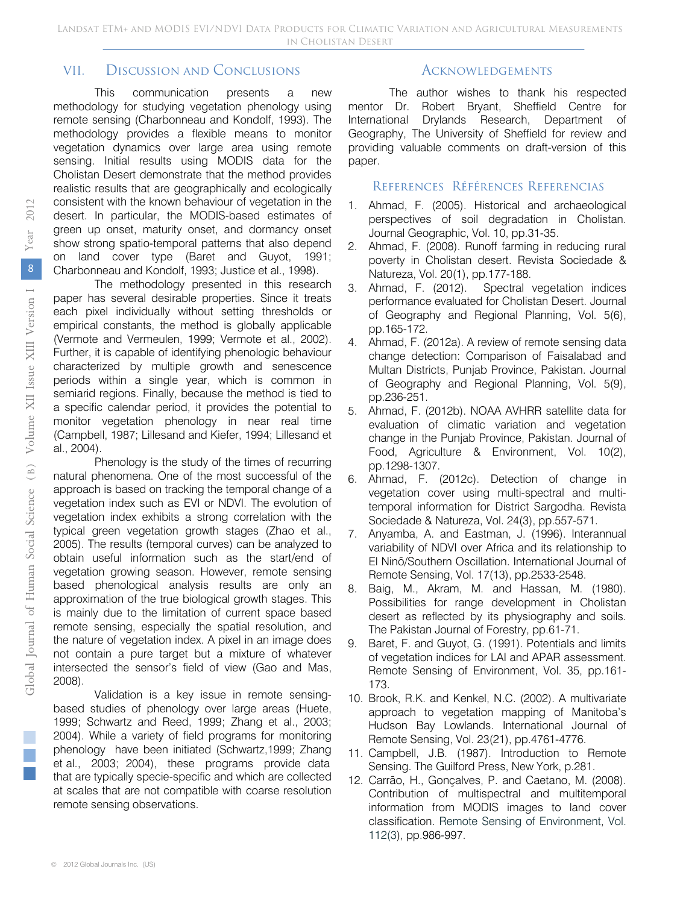### VII. Discussion and Conclusions

This communication presents a new methodology for studying vegetation phenology using remote sensing (Charbonneau and Kondolf, 1993). The methodology provides a flexible means to monitor vegetation dynamics over large area using remote sensing. Initial results using MODIS data for the Cholistan Desert demonstrate that the method provides realistic results that are geographically and ecologically consistent with the known behaviour of vegetation in the desert. In particular, the MODIS-based estimates of green up onset, maturity onset, and dormancy onset show strong spatio-temporal patterns that also depend on land cover type (Baret and Guyot, 1991; Charbonneau and Kondolf, 1993; Justice et al., 1998).

The methodology presented in this research paper has several desirable properties. Since it treats each pixel individually without setting thresholds or empirical constants, the method is globally applicable (Vermote and Vermeulen, 1999; Vermote et al., 2002). Further, it is capable of identifying phenologic behaviour characterized by multiple growth and senescence periods within a single year, which is common in semiarid regions. Finally, because the method is tied to a specific calendar period, it provides the potential to monitor vegetation phenology in near real time (Campbell, 1987; Lillesand and Kiefer, 1994; Lillesand et al., 2004).

Phenology is the study of the times of recurring natural phenomena. One of the most successful of the approach is based on tracking the temporal change of a vegetation index such as EVI or NDVI. The evolution of vegetation index exhibits a strong correlation with the typical green vegetation growth stages (Zhao et al., 2005). The results (temporal curves) can be analyzed to obtain useful information such as the start/end of vegetation growing season. However, remote sensing based phenological analysis results are only an approximation of the true biological growth stages. This is mainly due to the limitation of current space based remote sensing, especially the spatial resolution, and the nature of vegetation index. A pixel in an image does not contain a pure target but a mixture of whatever intersected the sensor's field of view (Gao and Mas, 2008).

Validation is a key issue in remote sensingbased studies of phenology over large areas (Huete, 1999; Schwartz and Reed, 1999; Zhang et al., 2003; 2004). While a variety of field programs for monitoring phenology have been initiated (Schwartz,1999; Zhang that are typically specie-specific and which are collected at scales that are not compatible with coarse resolution remote sensing observations. et al., 2003; 2004), these programs provide data

### **ACKNOWLEDGEMENTS**

The author wishes to thank his respected mentor Dr. Robert Bryant, Sheffield Centre for International Drylands Research, Department of Geography, The University of Sheffield for review and providing valuable comments on draft-version of this paper.

#### References Références Referencias

- 1. Ahmad, F. (2005). Historical and archaeological perspectives of soil degradation in Cholistan. Journal Geographic, Vol. 10, pp.31-35.
- 2. Ahmad, F. (2008). Runoff farming in reducing rural poverty in Cholistan desert. Revista Sociedade & Natureza, Vol. 20(1), pp.177-188.
- 3. Ahmad, F. (2012). Spectral vegetation indices performance evaluated for Cholistan Desert. Journal of Geography and Regional Planning, Vol. 5(6), pp.165-172.
- 4. Ahmad, F. (2012a). A review of remote sensing data change detection: Comparison of Faisalabad and Multan Districts, Punjab Province, Pakistan. Journal of Geography and Regional Planning, Vol. 5(9), pp.236-251.
- 5. Ahmad, F. (2012b). NOAA AVHRR satellite data for evaluation of climatic variation and vegetation change in the Punjab Province, Pakistan. Journal of Food, Agriculture & Environment, Vol. 10(2), pp.1298-1307.
- 6. Ahmad, F. (2012c). Detection of change in vegetation cover using multi-spectral and multitemporal information for District Sargodha. Revista Sociedade & Natureza, Vol. 24(3), pp.557-571.
- 7. Anyamba, A. and Eastman, J. (1996). Interannual variability of NDVI over Africa and its relationship to El Ninõ/Southern Oscillation. International Journal of Remote Sensing, Vol. 17(13), pp.2533-2548.
- 8. Baig, M., Akram, M. and Hassan, M. (1980). Possibilities for range development in Cholistan desert as reflected by its physiography and soils. The Pakistan Journal of Forestry, pp.61-71.
- 9. Baret, F. and Guyot, G. (1991). Potentials and limits of vegetation indices for LAI and APAR assessment. Remote Sensing of Environment, Vol. 35, pp.161- 173.
- 10. Brook, R.K. and Kenkel, N.C. (2002). A multivariate approach to vegetation mapping of Manitoba's Hudson Bay Lowlands. International Journal of Remote Sensing, Vol. 23(21), pp.4761-4776.
- 11. Campbell, J.B. (1987). Introduction to Remote Sensing. The Guilford Press, New York, p.281.
- 12. Carrão, H., Gonçalves, P. and Caetano, M. (2008). Contribution of multispectral and multitemporal information from MODIS images to land cover classification. Remote Sensing of Environment, Vol. 112(3), pp.986-997.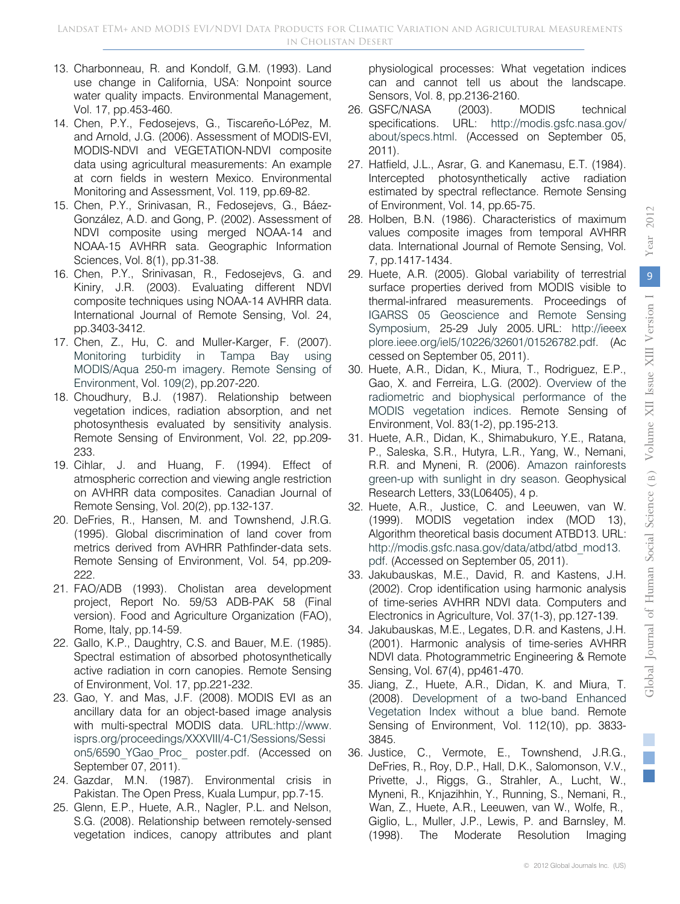- 13. Charbonneau, R. and Kondolf, G.M. (1993). Land use change in California, USA: Nonpoint source water quality impacts. Environmental Management, Vol. 17, pp.453-460.
- 14. Chen, P.Y., Fedosejevs, G., Tiscareño-LóPez, M. and Arnold, J.G. (2006). Assessment of MODIS-EVI, MODIS-NDVI and VEGETATION-NDVI composite data using agricultural measurements: An example at corn fields in western Mexico. Environmental Monitoring and Assessment, Vol. 119, pp.69-82.
- 15. Chen, P.Y., Srinivasan, R., Fedosejevs, G., Báez-González, A.D. and Gong, P. (2002). Assessment of NDVI composite using merged NOAA-14 and NOAA-15 AVHRR sata. Geographic Information Sciences, Vol. 8(1), pp.31-38.
- 16. Chen, P.Y., Srinivasan, R., Fedosejevs, G. and Kiniry, J.R. (2003). Evaluating different NDVI composite techniques using NOAA-14 AVHRR data. International Journal of Remote Sensing, Vol. 24, pp.3403-3412.
- 17. Chen, Z., Hu, C. and Muller-Karger, F. (2007). Monitoring turbidity in Tampa Bay using MODIS/Aqua 250-m imagery. Remote Sensing of Environment, Vol. 109(2), pp.207-220.
- 18. Choudhury, B.J. (1987). Relationship between vegetation indices, radiation absorption, and net photosynthesis evaluated by sensitivity analysis. Remote Sensing of Environment, Vol. 22, pp.209- 233.
- 19. Cihlar, J. and Huang, F. (1994). Effect of atmospheric correction and viewing angle restriction on AVHRR data composites. Canadian Journal of Remote Sensing, Vol. 20(2), pp.132-137.
- 20. DeFries, R., Hansen, M. and Townshend, J.R.G. (1995). Global discrimination of land cover from metrics derived from AVHRR Pathfinder-data sets. Remote Sensing of Environment, Vol. 54, pp.209- 222.
- 21. FAO/ADB (1993). Cholistan area development project, Report No. 59/53 ADB-PAK 58 (Final version). Food and Agriculture Organization (FAO), Rome, Italy, pp.14-59.
- 22. Gallo, K.P., Daughtry, C.S. and Bauer, M.E. (1985). Spectral estimation of absorbed photosynthetically active radiation in corn canopies. Remote Sensing of Environment, Vol. 17, pp.221-232.
- 23. Gao, Y. and Mas, J.F. (2008). MODIS EVI as an ancillary data for an object-based image analysis with multi-spectral MODIS data. URL:http://www. isprs.org/proceedings/XXXVIII/4-C1/Sessions/Sessi on5/6590\_YGao\_Proc\_ poster.pdf. (Accessed on September 07, 2011).
- 24. Gazdar, M.N. (1987). Environmental crisis in Pakistan. The Open Press, Kuala Lumpur, pp.7-15.
- 25. Glenn, E.P., Huete, A.R., Nagler, P.L. and Nelson, S.G. (2008). Relationship between remotely-sensed vegetation indices, canopy attributes and plant

physiological processes: What vegetation indices can and cannot tell us about the landscape. Sensors, Vol. 8, pp.2136-2160.

- 26. GSFC/NASA (2003). MODIS technical specifications. URL: http://modis.gsfc.nasa.gov/ about/specs.html. (Accessed on September 05, 2011).
- 27. Hatfield, J.L., Asrar, G. and Kanemasu, E.T. (1984). Intercepted photosynthetically active radiation estimated by spectral reflectance. Remote Sensing of Environment, Vol. 14, pp.65-75.
- 28. Holben, B.N. (1986). Characteristics of maximum values composite images from temporal AVHRR data. International Journal of Remote Sensing, Vol. 7, pp.1417-1434.
- 29. Huete, A.R. (2005). Global variability of terrestrial surface properties derived from MODIS visible to thermal-infrared measurements. Proceedings of IGARSS 05 Geoscience and Remote Sensing Symposium, 25-29 July 2005. URL: http://ieeex plore.ieee.org/iel5/10226/32601/01526782.pdf. (Ac cessed on September 05, 2011).
- 30. Huete, A.R., Didan, K., Miura, T., Rodriguez, E.P., Gao, X. and Ferreira, L.G. (2002). Overview of the radiometric and biophysical performance of the MODIS vegetation indices. Remote Sensing of Environment, Vol. 83(1-2), pp.195-213.
- 31. Huete, A.R., Didan, K., Shimabukuro, Y.E., Ratana, P., Saleska, S.R., Hutyra, L.R., Yang, W., Nemani, R.R. and Myneni, R. (2006). Amazon rainforests green-up with sunlight in dry season. Geophysical Research Letters, 33(L06405), 4 p.
- 32. Huete, A.R., Justice, C. and Leeuwen, van W. (1999). MODIS vegetation index (MOD 13), Algorithm theoretical basis document ATBD13. URL: http://modis.gsfc.nasa.gov/data/atbd/atbd\_mod13. pdf. (Accessed on September 05, 2011).
- 33. Jakubauskas, M.E., David, R. and Kastens, J.H. (2002). Crop identification using harmonic analysis of time-series AVHRR NDVI data. Computers and Electronics in Agriculture, Vol. 37(1-3), pp.127-139.
- 34. Jakubauskas, M.E., Legates, D.R. and Kastens, J.H. (2001). Harmonic analysis of time-series AVHRR NDVI data. Photogrammetric Engineering & Remote Sensing, Vol. 67(4), pp461-470.
- 35. Jiang, Z., Huete, A.R., Didan, K. and Miura, T. (2008). Development of a two-band Enhanced Vegetation Index without a blue band. Remote Sensing of Environment, Vol. 112(10), pp. 3833- 3845.
- 36. Justice, C., Vermote, E., Townshend, J.R.G., DeFries, R., Roy, D.P., Hall, D.K., Salomonson, V.V., Privette, J., Riggs, G., Strahler, A., Lucht, W., Myneni, R., Knjazihhin, Y., Running, S., Nemani, R., Wan, Z., Huete, A.R., Leeuwen, van W., Wolfe, R., Giglio, L., Muller, J.P., Lewis, P. and Barnsley, M. (1998). The Moderate Resolution Imaging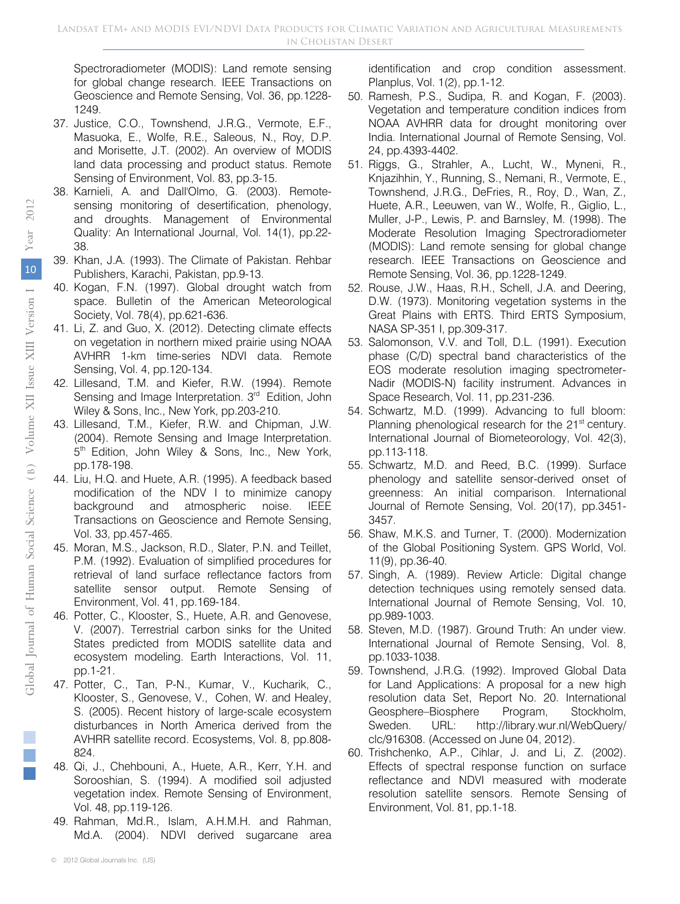Spectroradiometer (MODIS): Land remote sensing for global change research. IEEE Transactions on Geoscience and Remote Sensing, Vol. 36, pp.1228- 1249.

- 37. Justice, C.O., Townshend, J.R.G., Vermote, E.F., Masuoka, E., Wolfe, R.E., Saleous, N., Roy, D.P. and Morisette, J.T. (2002). An overview of MODIS land data processing and product status. Remote Sensing of Environment, Vol. 83, pp.3-15.
- 38. Karnieli, A. and Dall'Olmo, G. (2003). Remotesensing monitoring of desertification, phenology, and droughts. Management of Environmental Quality: An International Journal, Vol. 14(1), pp.22- 38.
- 39. Khan, J.A. (1993). The Climate of Pakistan. Rehbar Publishers, Karachi, Pakistan, pp.9-13.
- 40. Kogan, F.N. (1997). Global drought watch from space. Bulletin of the American Meteorological Society, Vol. 78(4), pp.621-636.
- 41. Li, Z. and Guo, X. (2012). Detecting climate effects on vegetation in northern mixed prairie using NOAA AVHRR 1-km time-series NDVI data. Remote Sensing, Vol. 4, pp.120-134.
- 42. Lillesand, T.M. and Kiefer, R.W. (1994). Remote Sensing and Image Interpretation. 3<sup>rd</sup> Edition, John Wiley & Sons, Inc., New York, pp.203-210.
- 43. Lillesand, T.M., Kiefer, R.W. and Chipman, J.W. (2004). Remote Sensing and Image Interpretation. 5<sup>th</sup> Edition, John Wiley & Sons, Inc., New York, pp.178-198.
- 44. Liu, H.Q. and Huete, A.R. (1995). A feedback based modification of the NDV I to minimize canopy background and atmospheric noise. IEEE Transactions on Geoscience and Remote Sensing, Vol. 33, pp.457-465.
- 45. Moran, M.S., Jackson, R.D., Slater, P.N. and Teillet, P.M. (1992). Evaluation of simplified procedures for retrieval of land surface reflectance factors from satellite sensor output. Remote Sensing of Environment, Vol. 41, pp.169-184.
- 46. Potter, C., Klooster, S., Huete, A.R. and Genovese, V. (2007). Terrestrial carbon sinks for the United States predicted from MODIS satellite data and ecosystem modeling. Earth Interactions, Vol. 11, pp.1-21.
- 47. Potter, C., Tan, P-N., Kumar, V., Kucharik, C., Klooster, S., Genovese, V., Cohen, W. and Healey, S. (2005). Recent history of large-scale ecosystem disturbances in North America derived from the AVHRR satellite record. Ecosystems, Vol. 8, pp.808- 824.
- 48. Qi, J., Chehbouni, A., Huete, A.R., Kerr, Y.H. and Sorooshian, S. (1994). A modified soil adjusted vegetation index. Remote Sensing of Environment, Vol. 48, pp.119-126.
- 49. Rahman, Md.R., Islam, A.H.M.H. and Rahman, Md.A. (2004). NDVI derived sugarcane area

identification and crop condition assessment. Planplus, Vol. 1(2), pp.1-12.

- 50. Ramesh, P.S., Sudipa, R. and Kogan, F. (2003). Vegetation and temperature condition indices from NOAA AVHRR data for drought monitoring over India. International Journal of Remote Sensing, Vol. 24, pp.4393-4402.
- 51. Riggs, G., Strahler, A., Lucht, W., Myneni, R., Knjazihhin, Y., Running, S., Nemani, R., Vermote, E., Townshend, J.R.G., DeFries, R., Roy, D., Wan, Z., Huete, A.R., Leeuwen, van W., Wolfe, R., Giglio, L., Muller, J-P., Lewis, P. and Barnsley, M. (1998). The Moderate Resolution Imaging Spectroradiometer (MODIS): Land remote sensing for global change research. IEEE Transactions on Geoscience and Remote Sensing, Vol. 36, pp.1228-1249.
- 52. Rouse, J.W., Haas, R.H., Schell, J.A. and Deering, D.W. (1973). Monitoring vegetation systems in the Great Plains with ERTS. Third ERTS Symposium, NASA SP-351 I, pp.309-317.
- 53. Salomonson, V.V. and Toll, D.L. (1991). Execution phase (C/D) spectral band characteristics of the EOS moderate resolution imaging spectrometer-Nadir (MODIS-N) facility instrument. Advances in Space Research, Vol. 11, pp.231-236.
- 54. Schwartz, M.D. (1999). Advancing to full bloom: Planning phenological research for the 21<sup>st</sup> century. International Journal of Biometeorology, Vol. 42(3), pp.113-118.
- 55. Schwartz, M.D. and Reed, B.C. (1999). Surface phenology and satellite sensor-derived onset of greenness: An initial comparison. International Journal of Remote Sensing, Vol. 20(17), pp.3451- 3457.
- 56. Shaw, M.K.S. and Turner, T. (2000). Modernization of the Global Positioning System. GPS World, Vol. 11(9), pp.36-40.
- 57. Singh, A. (1989). Review Article: Digital change detection techniques using remotely sensed data. International Journal of Remote Sensing, Vol. 10, pp.989-1003.
- 58. Steven, M.D. (1987). Ground Truth: An under view. International Journal of Remote Sensing, Vol. 8, pp.1033-1038.
- 59. Townshend, J.R.G. (1992). Improved Global Data for Land Applications: A proposal for a new high resolution data Set, Report No. 20. International Geosphere–Biosphere Program, Stockholm, Sweden. URL: http://library.wur.nl/WebQuery/ clc/916308. (Accessed on June 04, 2012).
- 60. Trishchenko, A.P., Cihlar, J. and Li, Z. (2002). Effects of spectral response function on surface reflectance and NDVI measured with moderate resolution satellite sensors. Remote Sensing of Environment, Vol. 81, pp.1-18.